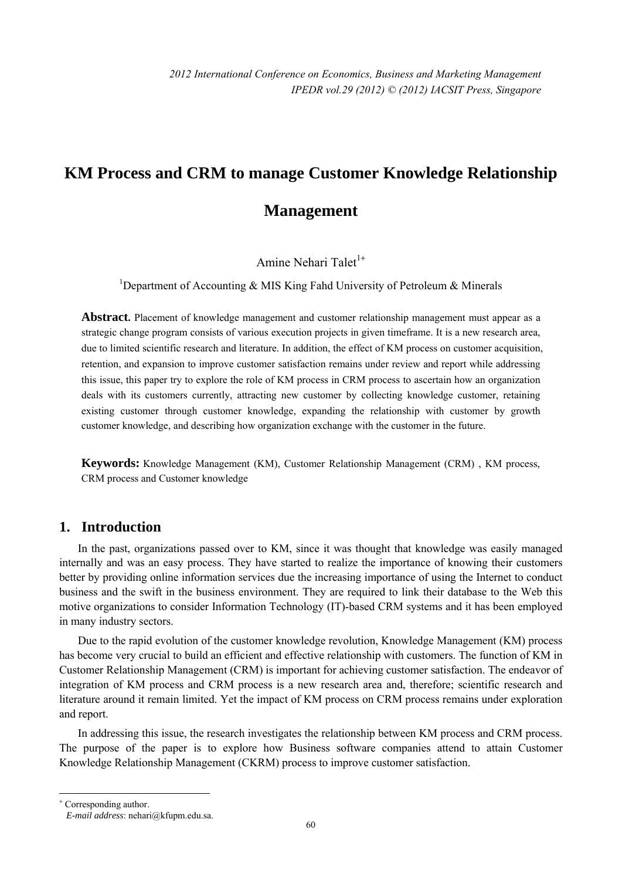# **KM Process and CRM to manage Customer Knowledge Relationship**

# **Management**

Amine Nehari Talet<sup>1+</sup>

<sup>1</sup>Department of Accounting & MIS King Fahd University of Petroleum & Minerals

Abstract. Placement of knowledge management and customer relationship management must appear as a strategic change program consists of various execution projects in given timeframe. It is a new research area, due to limited scientific research and literature. In addition, the effect of KM process on customer acquisition, retention, and expansion to improve customer satisfaction remains under review and report while addressing this issue, this paper try to explore the role of KM process in CRM process to ascertain how an organization deals with its customers currently, attracting new customer by collecting knowledge customer, retaining existing customer through customer knowledge, expanding the relationship with customer by growth customer knowledge, and describing how organization exchange with the customer in the future.

**Keywords:** Knowledge Management (KM), Customer Relationship Management (CRM) , KM process, CRM process and Customer knowledge

# **1. Introduction**

In the past, organizations passed over to KM, since it was thought that knowledge was easily managed internally and was an easy process. They have started to realize the importance of knowing their customers better by providing online information services due the increasing importance of using the Internet to conduct business and the swift in the business environment. They are required to link their database to the Web this motive organizations to consider Information Technology (IT)-based CRM systems and it has been employed in many industry sectors.

Due to the rapid evolution of the customer knowledge revolution, Knowledge Management (KM) process has become very crucial to build an efficient and effective relationship with customers. The function of KM in Customer Relationship Management (CRM) is important for achieving customer satisfaction. The endeavor of integration of KM process and CRM process is a new research area and, therefore; scientific research and literature around it remain limited. Yet the impact of KM process on CRM process remains under exploration and report.

In addressing this issue, the research investigates the relationship between KM process and CRM process. The purpose of the paper is to explore how Business software companies attend to attain Customer Knowledge Relationship Management (CKRM) process to improve customer satisfaction.

 $\overline{a}$ 

<sup>+</sup> Corresponding author. *E-mail address*: nehari@kfupm.edu.sa.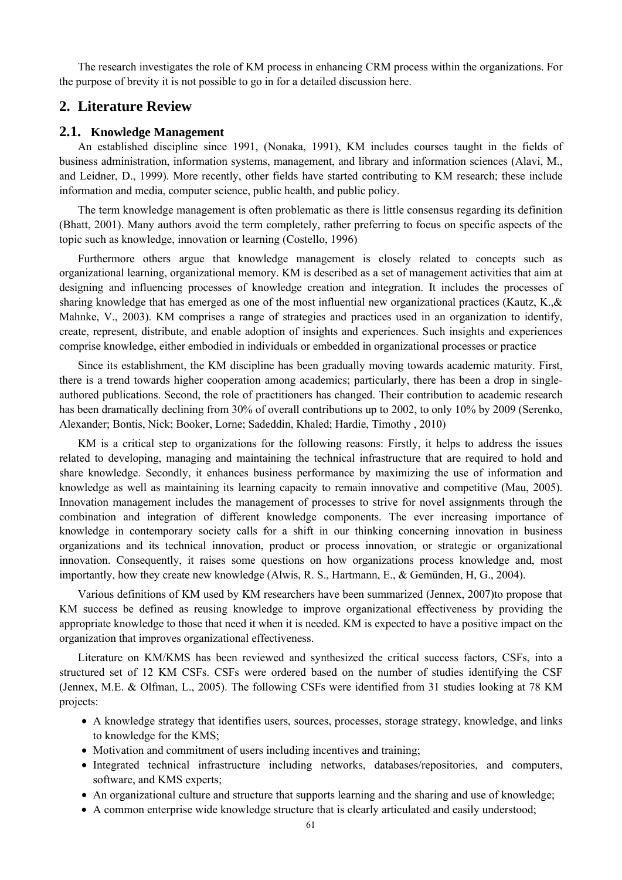The research investigates the role of KM process in enhancing CRM process within the organizations. For the purpose of brevity it is not possible to go in for a detailed discussion here.

# **2. Literature Review**

#### **2.1. Knowledge Management**

An established discipline since 1991, (Nonaka, 1991), KM includes courses taught in the fields of business administration, information systems, management, and library and information sciences (Alavi, M., and Leidner, D., 1999). More recently, other fields have started contributing to KM research; these include information and media, computer science, public health, and public policy.

The term knowledge management is often problematic as there is little consensus regarding its definition (Bhatt, 2001). Many authors avoid the term completely, rather preferring to focus on specific aspects of the topic such as knowledge, innovation or learning (Costello, 1996)

Furthermore others argue that knowledge management is closely related to concepts such as organizational learning, organizational memory. KM is described as a set of management activities that aim at designing and influencing processes of knowledge creation and integration. It includes the processes of sharing knowledge that has emerged as one of the most influential new organizational practices (Kautz, K.,& Mahnke, V., 2003). KM comprises a range of strategies and practices used in an organization to identify, create, represent, distribute, and enable adoption of insights and experiences. Such insights and experiences comprise knowledge, either embodied in individuals or embedded in organizational processes or practice

Since its establishment, the KM discipline has been gradually moving towards academic maturity. First, there is a trend towards higher cooperation among academics; particularly, there has been a drop in singleauthored publications. Second, the role of practitioners has changed. Their contribution to academic research has been dramatically declining from 30% of overall contributions up to 2002, to only 10% by 2009 (Serenko, Alexander; Bontis, Nick; Booker, Lorne; Sadeddin, Khaled; Hardie, Timothy , 2010)

KM is a critical step to organizations for the following reasons: Firstly, it helps to address the issues related to developing, managing and maintaining the technical infrastructure that are required to hold and share knowledge. Secondly, it enhances business performance by maximizing the use of information and knowledge as well as maintaining its learning capacity to remain innovative and competitive (Mau, 2005). Innovation management includes the management of processes to strive for novel assignments through the combination and integration of different knowledge components. The ever increasing importance of knowledge in contemporary society calls for a shift in our thinking concerning innovation in business organizations and its technical innovation, product or process innovation, or strategic or organizational innovation. Consequently, it raises some questions on how organizations process knowledge and, most importantly, how they create new knowledge (Alwis, R. S., Hartmann, E., & Gemünden, H, G., 2004).

Various definitions of KM used by KM researchers have been summarized (Jennex, 2007)to propose that KM success be defined as reusing knowledge to improve organizational effectiveness by providing the appropriate knowledge to those that need it when it is needed. KM is expected to have a positive impact on the organization that improves organizational effectiveness.

Literature on KM/KMS has been reviewed and synthesized the critical success factors, CSFs, into a structured set of 12 KM CSFs. CSFs were ordered based on the number of studies identifying the CSF (Jennex, M.E. & Olfman, L., 2005). The following CSFs were identified from 31 studies looking at 78 KM projects:

- A knowledge strategy that identifies users, sources, processes, storage strategy, knowledge, and links to knowledge for the KMS;
- Motivation and commitment of users including incentives and training:
- Integrated technical infrastructure including networks, databases/repositories, and computers, software, and KMS experts;
- An organizational culture and structure that supports learning and the sharing and use of knowledge;
- A common enterprise wide knowledge structure that is clearly articulated and easily understood;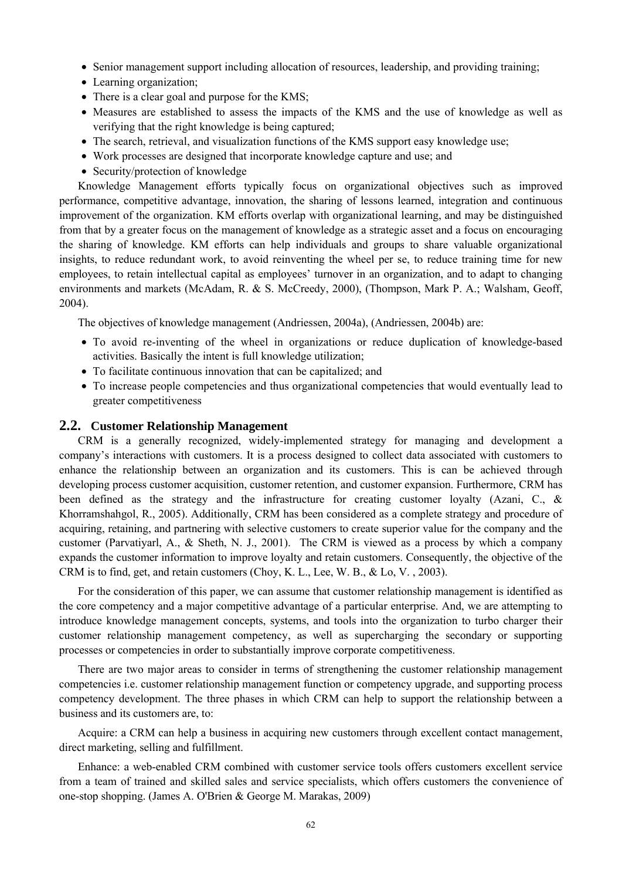- Senior management support including allocation of resources, leadership, and providing training;
- Learning organization;
- There is a clear goal and purpose for the KMS;
- Measures are established to assess the impacts of the KMS and the use of knowledge as well as verifying that the right knowledge is being captured;
- The search, retrieval, and visualization functions of the KMS support easy knowledge use;
- Work processes are designed that incorporate knowledge capture and use; and
- Security/protection of knowledge

Knowledge Management efforts typically focus on organizational objectives such as improved performance, competitive advantage, innovation, the sharing of lessons learned, integration and continuous improvement of the organization. KM efforts overlap with organizational learning, and may be distinguished from that by a greater focus on the management of knowledge as a strategic asset and a focus on encouraging the sharing of knowledge. KM efforts can help individuals and groups to share valuable organizational insights, to reduce redundant work, to avoid reinventing the wheel per se, to reduce training time for new employees, to retain intellectual capital as employees' turnover in an organization, and to adapt to changing environments and markets (McAdam, R. & S. McCreedy, 2000), (Thompson, Mark P. A.; Walsham, Geoff, 2004).

The objectives of knowledge management (Andriessen, 2004a), (Andriessen, 2004b) are:

- To avoid re-inventing of the wheel in organizations or reduce duplication of knowledge-based activities. Basically the intent is full knowledge utilization;
- To facilitate continuous innovation that can be capitalized; and
- To increase people competencies and thus organizational competencies that would eventually lead to greater competitiveness

#### **2.2. Customer Relationship Management**

CRM is a generally recognized, widely-implemented strategy for managing and development a company's interactions with customers. It is a process designed to collect data associated with customers to enhance the relationship between an organization and its customers. This is can be achieved through developing process customer acquisition, customer retention, and customer expansion. Furthermore, CRM has been defined as the strategy and the infrastructure for creating customer loyalty (Azani, C., & Khorramshahgol, R., 2005). Additionally, CRM has been considered as a complete strategy and procedure of acquiring, retaining, and partnering with selective customers to create superior value for the company and the customer (Parvatiyarl, A., & Sheth, N. J., 2001). The CRM is viewed as a process by which a company expands the customer information to improve loyalty and retain customers. Consequently, the objective of the CRM is to find, get, and retain customers (Choy, K. L., Lee, W. B., & Lo, V. , 2003).

For the consideration of this paper, we can assume that customer relationship management is identified as the core competency and a major competitive advantage of a particular enterprise. And, we are attempting to introduce knowledge management concepts, systems, and tools into the organization to turbo charger their customer relationship management competency, as well as supercharging the secondary or supporting processes or competencies in order to substantially improve corporate competitiveness.

There are two major areas to consider in terms of strengthening the customer relationship management competencies i.e. customer relationship management function or competency upgrade, and supporting process competency development. The three phases in which CRM can help to support the relationship between a business and its customers are, to:

Acquire: a CRM can help a business in acquiring new customers through excellent contact management, direct marketing, selling and fulfillment.

Enhance: a web-enabled CRM combined with customer service tools offers customers excellent service from a team of trained and skilled sales and service specialists, which offers customers the convenience of one-stop shopping. (James A. O'Brien & George M. Marakas, 2009)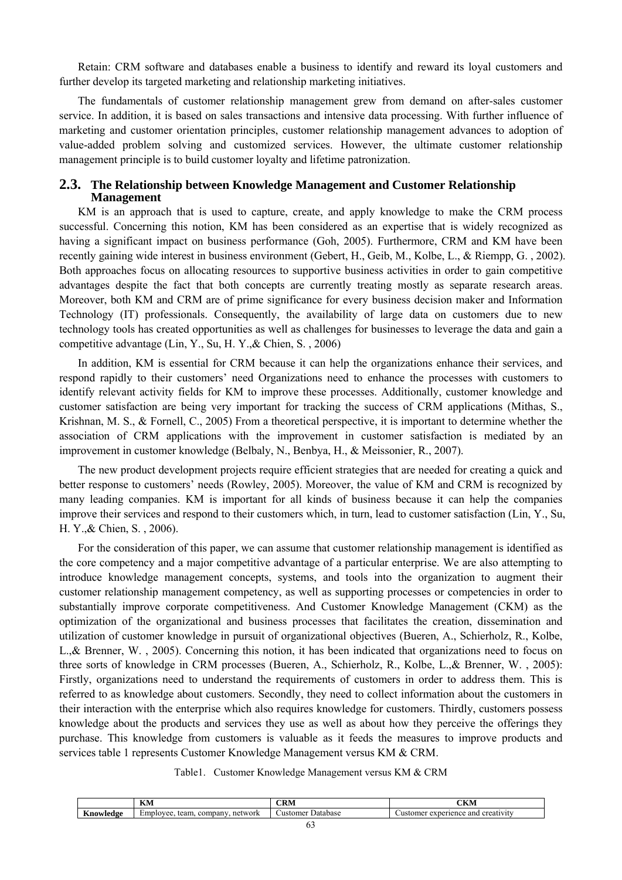Retain: CRM software and databases enable a business to identify and reward its loyal customers and further develop its targeted marketing and relationship marketing initiatives.

The fundamentals of customer relationship management grew from demand on after-sales customer service. In addition, it is based on sales transactions and intensive data processing. With further influence of marketing and customer orientation principles, customer relationship management advances to adoption of value-added problem solving and customized services. However, the ultimate customer relationship management principle is to build customer loyalty and lifetime patronization.

#### **2.3. The Relationship between Knowledge Management and Customer Relationship Management**

KM is an approach that is used to capture, create, and apply knowledge to make the CRM process successful. Concerning this notion, KM has been considered as an expertise that is widely recognized as having a significant impact on business performance (Goh, 2005). Furthermore, CRM and KM have been recently gaining wide interest in business environment (Gebert, H., Geib, M., Kolbe, L., & Riempp, G. , 2002). Both approaches focus on allocating resources to supportive business activities in order to gain competitive advantages despite the fact that both concepts are currently treating mostly as separate research areas. Moreover, both KM and CRM are of prime significance for every business decision maker and Information Technology (IT) professionals. Consequently, the availability of large data on customers due to new technology tools has created opportunities as well as challenges for businesses to leverage the data and gain a competitive advantage (Lin, Y., Su, H. Y.,& Chien, S. , 2006)

In addition, KM is essential for CRM because it can help the organizations enhance their services, and respond rapidly to their customers' need Organizations need to enhance the processes with customers to identify relevant activity fields for KM to improve these processes. Additionally, customer knowledge and customer satisfaction are being very important for tracking the success of CRM applications (Mithas, S., Krishnan, M. S., & Fornell, C., 2005) From a theoretical perspective, it is important to determine whether the association of CRM applications with the improvement in customer satisfaction is mediated by an improvement in customer knowledge (Belbaly, N., Benbya, H., & Meissonier, R., 2007).

The new product development projects require efficient strategies that are needed for creating a quick and better response to customers' needs (Rowley, 2005). Moreover, the value of KM and CRM is recognized by many leading companies. KM is important for all kinds of business because it can help the companies improve their services and respond to their customers which, in turn, lead to customer satisfaction (Lin, Y., Su, H. Y.,& Chien, S. , 2006).

For the consideration of this paper, we can assume that customer relationship management is identified as the core competency and a major competitive advantage of a particular enterprise. We are also attempting to introduce knowledge management concepts, systems, and tools into the organization to augment their customer relationship management competency, as well as supporting processes or competencies in order to substantially improve corporate competitiveness. And Customer Knowledge Management (CKM) as the optimization of the organizational and business processes that facilitates the creation, dissemination and utilization of customer knowledge in pursuit of organizational objectives (Bueren, A., Schierholz, R., Kolbe, L.,& Brenner, W. , 2005). Concerning this notion, it has been indicated that organizations need to focus on three sorts of knowledge in CRM processes (Bueren, A., Schierholz, R., Kolbe, L.,& Brenner, W. , 2005): Firstly, organizations need to understand the requirements of customers in order to address them. This is referred to as knowledge about customers. Secondly, they need to collect information about the customers in their interaction with the enterprise which also requires knowledge for customers. Thirdly, customers possess knowledge about the products and services they use as well as about how they perceive the offerings they purchase. This knowledge from customers is valuable as it feeds the measures to improve products and services table 1 represents Customer Knowledge Management versus KM & CRM.

|  |  |  | Table1. Customer Knowledge Management versus KM & CRM |  |  |  |
|--|--|--|-------------------------------------------------------|--|--|--|
|--|--|--|-------------------------------------------------------|--|--|--|

|           | <b>TZN</b><br>IXVI                              | - 111                       | CIZM.<br>CКM                                                 |
|-----------|-------------------------------------------------|-----------------------------|--------------------------------------------------------------|
| Anowledge | $-$<br>network<br>company<br>team.<br>Employee. | <b>∪ustomer</b><br>⊅atabase | perience and<br>creativity<br><b>Justome</b><br>$\mathbf{a}$ |
|           |                                                 | $\sim$ $\sim$               |                                                              |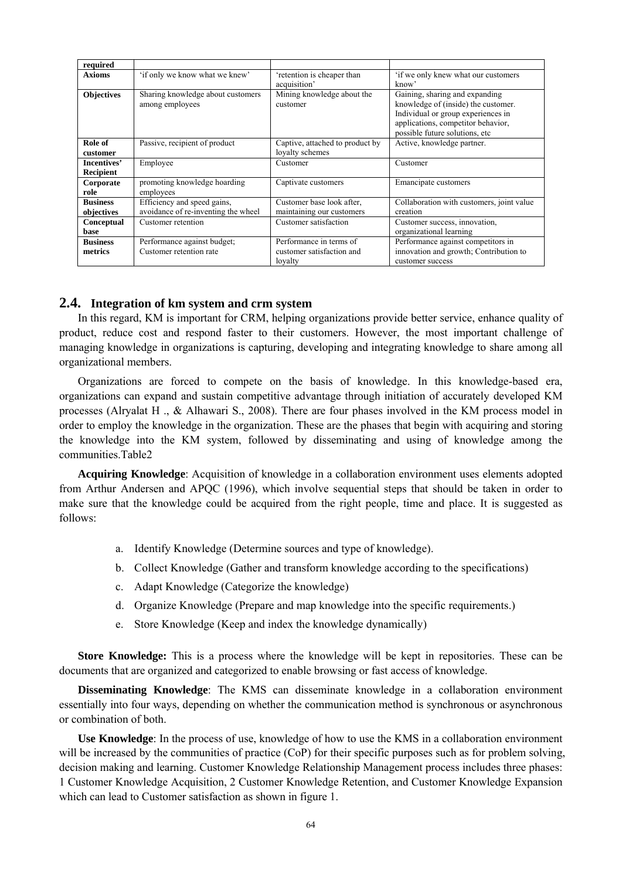| required                      |                                                                    |                                                                 |                                                                                                                                                                                     |
|-------------------------------|--------------------------------------------------------------------|-----------------------------------------------------------------|-------------------------------------------------------------------------------------------------------------------------------------------------------------------------------------|
| <b>Axioms</b>                 | 'if only we know what we knew'                                     | retention is cheaper than<br>acquisition'                       | 'if we only knew what our customers<br>know'                                                                                                                                        |
| <b>Objectives</b>             | Sharing knowledge about customers<br>among employees               | Mining knowledge about the<br>customer                          | Gaining, sharing and expanding<br>knowledge of (inside) the customer.<br>Individual or group experiences in<br>applications, competitor behavior,<br>possible future solutions, etc |
| Role of<br>customer           | Passive, recipient of product                                      | Captive, attached to product by<br>loyalty schemes              | Active, knowledge partner.                                                                                                                                                          |
| Incentives'<br>Recipient      | Employee                                                           | Customer                                                        | Customer                                                                                                                                                                            |
| Corporate<br>role             | promoting knowledge hoarding<br>employees                          | Captivate customers                                             | Emancipate customers                                                                                                                                                                |
| <b>Business</b><br>objectives | Efficiency and speed gains,<br>avoidance of re-inventing the wheel | Customer base look after,<br>maintaining our customers          | Collaboration with customers, joint value<br>creation                                                                                                                               |
| Conceptual<br>base            | Customer retention                                                 | Customer satisfaction                                           | Customer success, innovation,<br>organizational learning                                                                                                                            |
| <b>Business</b><br>metrics    | Performance against budget;<br>Customer retention rate             | Performance in terms of<br>customer satisfaction and<br>lovalty | Performance against competitors in<br>innovation and growth; Contribution to<br>customer success                                                                                    |

### **2.4. Integration of km system and crm system**

In this regard, KM is important for CRM, helping organizations provide better service, enhance quality of product, reduce cost and respond faster to their customers. However, the most important challenge of managing knowledge in organizations is capturing, developing and integrating knowledge to share among all organizational members.

Organizations are forced to compete on the basis of knowledge. In this knowledge-based era, organizations can expand and sustain competitive advantage through initiation of accurately developed KM processes (Alryalat H ., & Alhawari S., 2008). There are four phases involved in the KM process model in order to employ the knowledge in the organization. These are the phases that begin with acquiring and storing the knowledge into the KM system, followed by disseminating and using of knowledge among the communities.Table2

**Acquiring Knowledge**: Acquisition of knowledge in a collaboration environment uses elements adopted from Arthur Andersen and APQC (1996), which involve sequential steps that should be taken in order to make sure that the knowledge could be acquired from the right people, time and place. It is suggested as follows:

- a. Identify Knowledge (Determine sources and type of knowledge).
- b. Collect Knowledge (Gather and transform knowledge according to the specifications)
- c. Adapt Knowledge (Categorize the knowledge)
- d. Organize Knowledge (Prepare and map knowledge into the specific requirements.)
- e. Store Knowledge (Keep and index the knowledge dynamically)

**Store Knowledge:** This is a process where the knowledge will be kept in repositories. These can be documents that are organized and categorized to enable browsing or fast access of knowledge.

**Disseminating Knowledge**: The KMS can disseminate knowledge in a collaboration environment essentially into four ways, depending on whether the communication method is synchronous or asynchronous or combination of both.

**Use Knowledge**: In the process of use, knowledge of how to use the KMS in a collaboration environment will be increased by the communities of practice (CoP) for their specific purposes such as for problem solving, decision making and learning. Customer Knowledge Relationship Management process includes three phases: 1 Customer Knowledge Acquisition, 2 Customer Knowledge Retention, and Customer Knowledge Expansion which can lead to Customer satisfaction as shown in figure 1.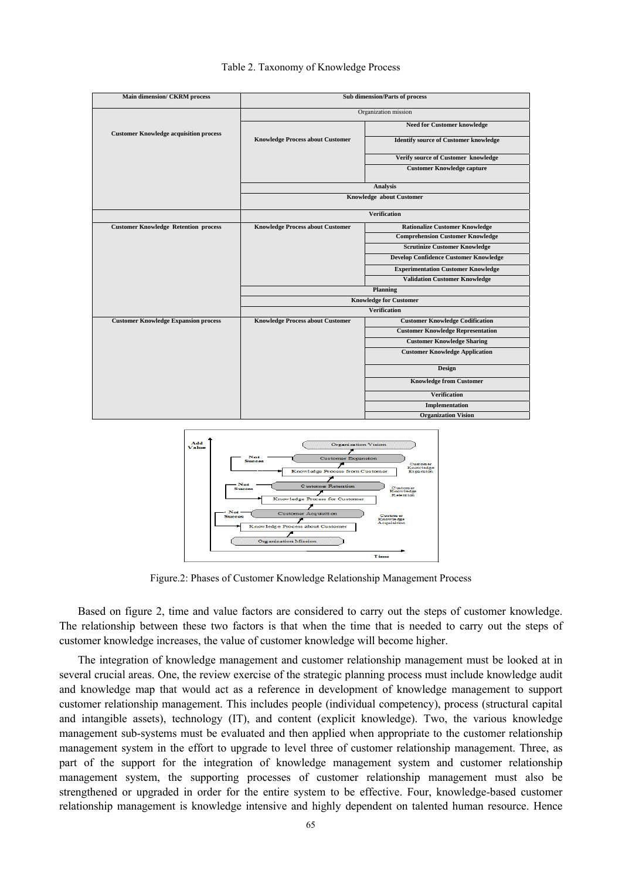

#### Table 2. Taxonomy of Knowledge Process



Figure.2: Phases of Customer Knowledge Relationship Management Process

Based on figure 2, time and value factors are considered to carry out the steps of customer knowledge. The relationship between these two factors is that when the time that is needed to carry out the steps of customer knowledge increases, the value of customer knowledge will become higher.

The integration of knowledge management and customer relationship management must be looked at in several crucial areas. One, the review exercise of the strategic planning process must include knowledge audit and knowledge map that would act as a reference in development of knowledge management to support customer relationship management. This includes people (individual competency), process (structural capital and intangible assets), technology (IT), and content (explicit knowledge). Two, the various knowledge management sub-systems must be evaluated and then applied when appropriate to the customer relationship management system in the effort to upgrade to level three of customer relationship management. Three, as part of the support for the integration of knowledge management system and customer relationship management system, the supporting processes of customer relationship management must also be strengthened or upgraded in order for the entire system to be effective. Four, knowledge-based customer relationship management is knowledge intensive and highly dependent on talented human resource. Hence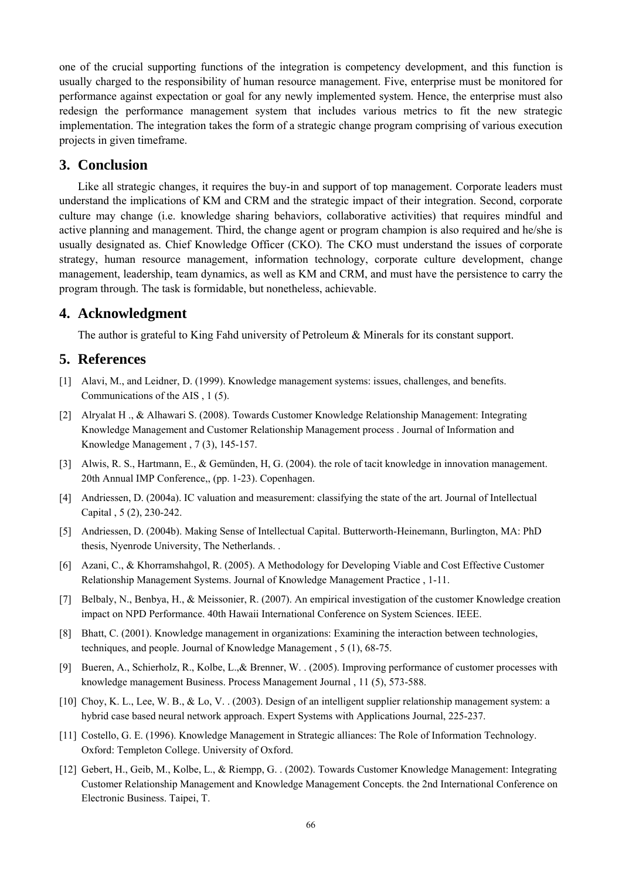one of the crucial supporting functions of the integration is competency development, and this function is usually charged to the responsibility of human resource management. Five, enterprise must be monitored for performance against expectation or goal for any newly implemented system. Hence, the enterprise must also redesign the performance management system that includes various metrics to fit the new strategic implementation. The integration takes the form of a strategic change program comprising of various execution projects in given timeframe.

# **3. Conclusion**

Like all strategic changes, it requires the buy-in and support of top management. Corporate leaders must understand the implications of KM and CRM and the strategic impact of their integration. Second, corporate culture may change (i.e. knowledge sharing behaviors, collaborative activities) that requires mindful and active planning and management. Third, the change agent or program champion is also required and he/she is usually designated as. Chief Knowledge Officer (CKO). The CKO must understand the issues of corporate strategy, human resource management, information technology, corporate culture development, change management, leadership, team dynamics, as well as KM and CRM, and must have the persistence to carry the program through. The task is formidable, but nonetheless, achievable.

# **4. Acknowledgment**

The author is grateful to King Fahd university of Petroleum & Minerals for its constant support.

## **5. References**

- [1] Alavi, M., and Leidner, D. (1999). Knowledge management systems: issues, challenges, and benefits. Communications of the AIS , 1 (5).
- [2] Alryalat H ., & Alhawari S. (2008). Towards Customer Knowledge Relationship Management: Integrating Knowledge Management and Customer Relationship Management process . Journal of Information and Knowledge Management , 7 (3), 145-157.
- [3] Alwis, R. S., Hartmann, E., & Gemünden, H, G. (2004). the role of tacit knowledge in innovation management. 20th Annual IMP Conference,, (pp. 1-23). Copenhagen.
- [4] Andriessen, D. (2004a). IC valuation and measurement: classifying the state of the art. Journal of Intellectual Capital , 5 (2), 230-242.
- [5] Andriessen, D. (2004b). Making Sense of Intellectual Capital. Butterworth-Heinemann, Burlington, MA: PhD thesis, Nyenrode University, The Netherlands. .
- [6] Azani, C., & Khorramshahgol, R. (2005). A Methodology for Developing Viable and Cost Effective Customer Relationship Management Systems. Journal of Knowledge Management Practice , 1-11.
- [7] Belbaly, N., Benbya, H., & Meissonier, R. (2007). An empirical investigation of the customer Knowledge creation impact on NPD Performance. 40th Hawaii International Conference on System Sciences. IEEE.
- [8] Bhatt, C. (2001). Knowledge management in organizations: Examining the interaction between technologies, techniques, and people. Journal of Knowledge Management , 5 (1), 68-75.
- [9] Bueren, A., Schierholz, R., Kolbe, L.,& Brenner, W. . (2005). Improving performance of customer processes with knowledge management Business. Process Management Journal , 11 (5), 573-588.
- [10] Choy, K. L., Lee, W. B., & Lo, V. . (2003). Design of an intelligent supplier relationship management system: a hybrid case based neural network approach. Expert Systems with Applications Journal, 225-237.
- [11] Costello, G. E. (1996). Knowledge Management in Strategic alliances: The Role of Information Technology. Oxford: Templeton College. University of Oxford.
- [12] Gebert, H., Geib, M., Kolbe, L., & Riempp, G. . (2002). Towards Customer Knowledge Management: Integrating Customer Relationship Management and Knowledge Management Concepts. the 2nd International Conference on Electronic Business. Taipei, T.